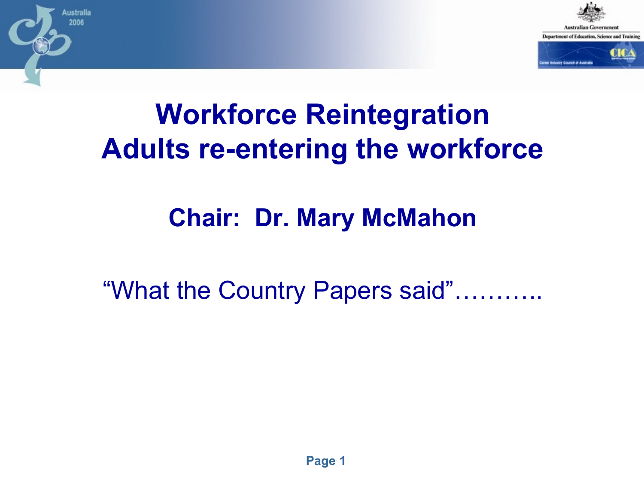

# **Workforce Reintegration Adults re-entering the workforce**

ustralia 2006

#### **Chair: Dr. Mary McMahon**

"What the Country Papers said"...........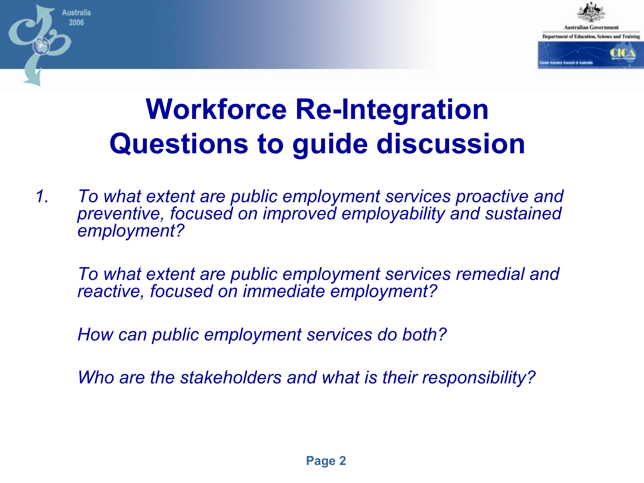

## **Workforce Re-Integration Questions to guide discussion**

*1. To what extent are public employment services proactive and preventive, focused on improved employability and sustained employment?* 

*To what extent are public employment services remedial and reactive, focused on immediate employment?*

*How can public employment services do both?*

ustralia 2006

*Who are the stakeholders and what is their responsibility?*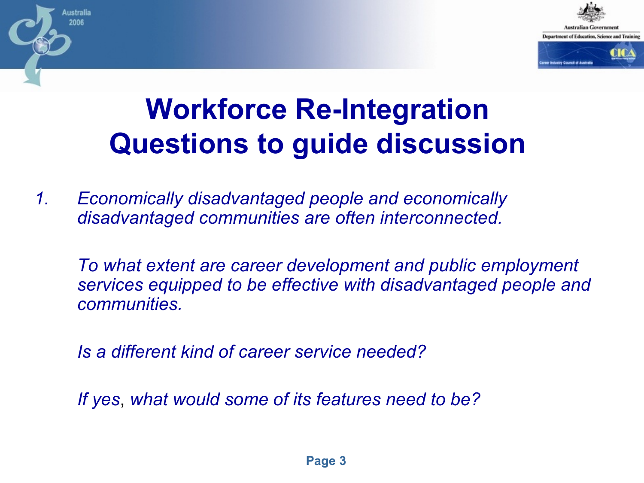

## **Workforce Re-Integration Questions to guide discussion**

*1. Economically disadvantaged people and economically disadvantaged communities are often interconnected.*

ustralia 2006

- *To what extent are career development and public employment services equipped to be effective with disadvantaged people and communities.*
- *Is a different kind of career service needed?*
- *If yes*, *what would some of its features need to be?*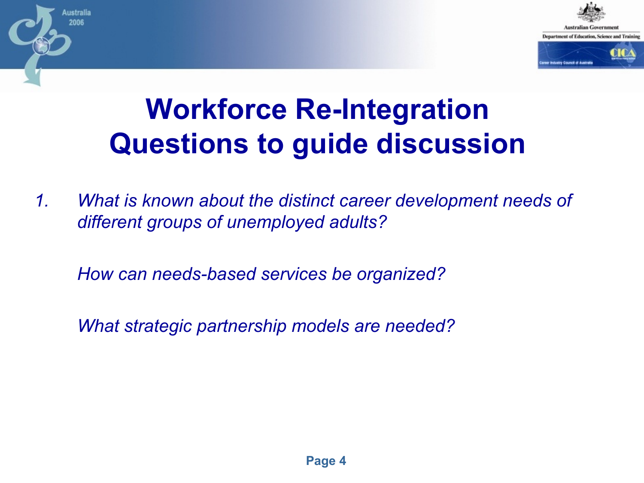

## **Workforce Re-Integration Questions to guide discussion**

*1. What is known about the distinct career development needs of different groups of unemployed adults?*

*How can needs-based services be organized?* 

ustralia 2006

*What strategic partnership models are needed?*